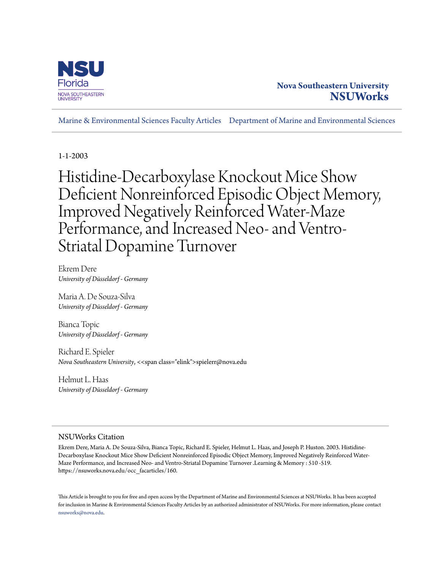

# **Nova Southeastern University [NSUWorks](https://nsuworks.nova.edu?utm_source=nsuworks.nova.edu%2Focc_facarticles%2F160&utm_medium=PDF&utm_campaign=PDFCoverPages)**

[Marine & Environmental Sciences Faculty Articles](https://nsuworks.nova.edu/occ_facarticles?utm_source=nsuworks.nova.edu%2Focc_facarticles%2F160&utm_medium=PDF&utm_campaign=PDFCoverPages) [Department of Marine and Environmental Sciences](https://nsuworks.nova.edu/cnso_mes?utm_source=nsuworks.nova.edu%2Focc_facarticles%2F160&utm_medium=PDF&utm_campaign=PDFCoverPages)

1-1-2003

Histidine-Decarboxylase Knockout Mice Show Deficient Nonreinforced Episodic Object Memory, Improved Negatively Reinforced Water-Maze Performance, and Increased Neo- and Ventro-Striatal Dopamine Turnover

Ekrem Dere *University of Düsseldorf - Germany*

Maria A. De Souza-Silva *University of Düsseldorf - Germany*

Bianca Topic *University of Düsseldorf - Germany*

Richard E. Spieler *Nova Southeastern University*, <<span class="elink">spielerr@nova.edu

Helmut L. Haas *University of Düsseldorf - Germany*

# NSUWorks Citation

Ekrem Dere, Maria A. De Souza-Silva, Bianca Topic, Richard E. Spieler, Helmut L. Haas, and Joseph P. Huston. 2003. Histidine-Decarboxylase Knockout Mice Show Deficient Nonreinforced Episodic Object Memory, Improved Negatively Reinforced Water-Maze Performance, and Increased Neo- and Ventro-Striatal Dopamine Turnover .Learning & Memory : 510 -519. https://nsuworks.nova.edu/occ\_facarticles/160.

This Article is brought to you for free and open access by the Department of Marine and Environmental Sciences at NSUWorks. It has been accepted for inclusion in Marine & Environmental Sciences Faculty Articles by an authorized administrator of NSUWorks. For more information, please contact [nsuworks@nova.edu.](mailto:nsuworks@nova.edu)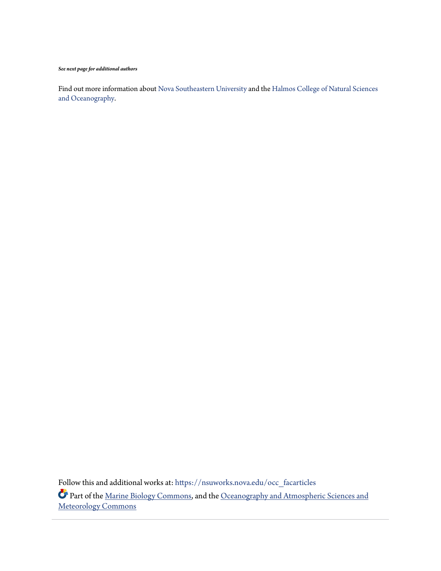#### *See next page for additional authors*

Find out more information about [Nova Southeastern University](http://www.nova.edu/) and the [Halmos College of Natural Sciences](https://cnso.nova.edu) [and Oceanography.](https://cnso.nova.edu)

Follow this and additional works at: [https://nsuworks.nova.edu/occ\\_facarticles](https://nsuworks.nova.edu/occ_facarticles?utm_source=nsuworks.nova.edu%2Focc_facarticles%2F160&utm_medium=PDF&utm_campaign=PDFCoverPages) Part of the [Marine Biology Commons,](http://network.bepress.com/hgg/discipline/1126?utm_source=nsuworks.nova.edu%2Focc_facarticles%2F160&utm_medium=PDF&utm_campaign=PDFCoverPages) and the [Oceanography and Atmospheric Sciences and](http://network.bepress.com/hgg/discipline/186?utm_source=nsuworks.nova.edu%2Focc_facarticles%2F160&utm_medium=PDF&utm_campaign=PDFCoverPages) [Meteorology Commons](http://network.bepress.com/hgg/discipline/186?utm_source=nsuworks.nova.edu%2Focc_facarticles%2F160&utm_medium=PDF&utm_campaign=PDFCoverPages)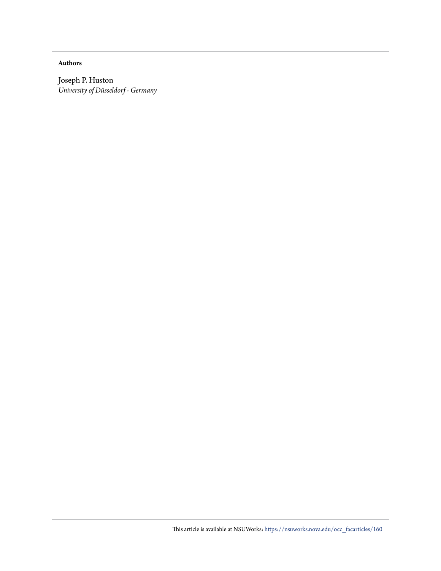**Authors**

Joseph P. Huston *University of Düsseldorf - Germany*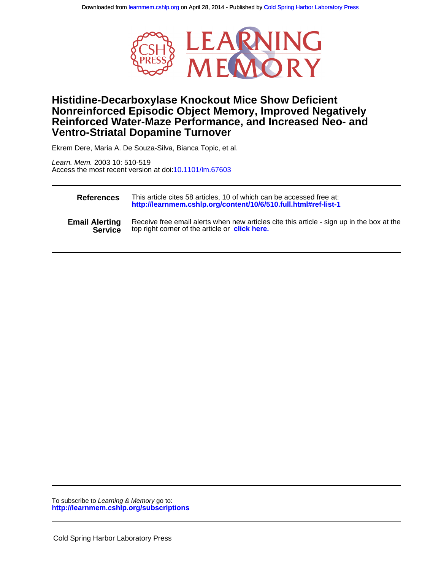

# **Ventro-Striatal Dopamine Turnover Reinforced Water-Maze Performance, and Increased Neo- and Nonreinforced Episodic Object Memory, Improved Negatively Histidine-Decarboxylase Knockout Mice Show Deficient**

Ekrem Dere, Maria A. De Souza-Silva, Bianca Topic, et al.

Access the most recent version at doi[:10.1101/lm.67603](http://learnmem.cshlp.org/lookup/doi/10.1101/lm.67603) Learn. Mem. 2003 10: 510-519

| <b>References</b>     | This article cites 58 articles, 10 of which can be accessed free at:<br>http://learnmem.cshlp.org/content/10/6/510.full.html#ref-list-1 |
|-----------------------|-----------------------------------------------------------------------------------------------------------------------------------------|
| <b>Email Alerting</b> | Receive free email alerts when new articles cite this article - sign up in the box at the                                               |
| <b>Service</b>        | top right corner of the article or click here.                                                                                          |

**<http://learnmem.cshlp.org/subscriptions>** To subscribe to Learning & Memory go to: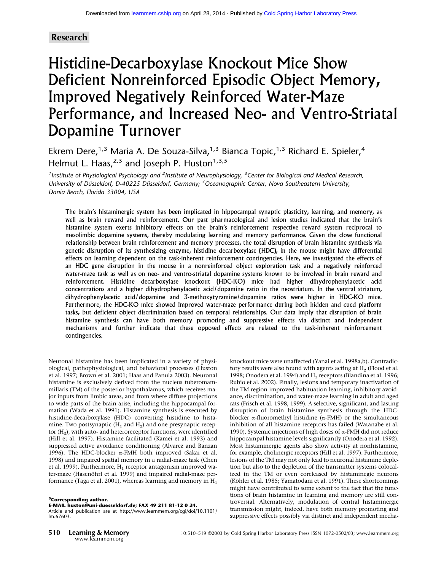# **Research**

# Histidine-Decarboxylase Knockout Mice Show Deficient Nonreinforced Episodic Object Memory, Improved Negatively Reinforced Water-Maze Performance, and Increased Neo- and Ventro-Striatal Dopamine Turnover

Ekrem Dere,<sup>1,3</sup> Maria A. De Souza-Silva,<sup>1,3</sup> Bianca Topic,<sup>1,3</sup> Richard E. Spieler,<sup>4</sup> Helmut L. Haas,<sup>2,3</sup> and Joseph P. Huston<sup>1,3,5</sup>

<sup>1</sup> Institute of Physiological Psychology and <sup>2</sup> Institute of Neurophysiology, <sup>3</sup> Center for Biological and Medical Research, University of Düsseldorf, D-40225 Düsseldorf, Germany; <sup>4</sup>Oceanographic Center, Nova Southeastern University, *Dania Beach, Florida 33004, USA*

The brain's histaminergic system has been implicated in hippocampal synaptic plasticity, learning, and memory, as well as brain reward and reinforcement. Our past pharmacological and lesion studies indicated that the brain's histamine system exerts inhibitory effects on the brain's reinforcement respective reward system reciprocal to mesolimbic dopamine systems, thereby modulating learning and memory performance. Given the close functional relationship between brain reinforcement and memory processes, the total disruption of brain histamine synthesis via genetic disruption of its synthesizing enzyme, histidine decarboxylase (HDC), in the mouse might have differential effects on learning dependent on the task-inherent reinforcement contingencies. Here, we investigated the effects of an HDC gene disruption in the mouse in a nonreinforced object exploration task and a negatively reinforced water-maze task as well as on neo- and ventro-striatal dopamine systems known to be involved in brain reward and reinforcement. Histidine decarboxylase knockout (HDC-KO) mice had higher dihydrophenylacetic acid concentrations and a higher dihydrophenylacetic acid/dopamine ratio in the neostriatum. In the ventral striatum, dihydrophenylacetic acid/dopamine and 3-methoxytyramine/dopamine ratios were higher in HDC-KO mice. Furthermore, the HDC-KO mice showed improved water-maze performance during both hidden and cued platform tasks, but deficient object discrimination based on temporal relationships. Our data imply that disruption of brain histamine synthesis can have both memory promoting and suppressive effects via distinct and independent mechanisms and further indicate that these opposed effects are related to the task-inherent reinforcement contingencies.

Neuronal histamine has been implicated in a variety of physiological, pathophysiological, and behavioral processes (Huston et al. 1997; Brown et al. 2001; Haas and Panula 2003). Neuronal histamine is exclusively derived from the nucleus tuberomammillaris (TM) of the posterior hypothalamus, which receives major inputs from limbic areas, and from where diffuse projections to wide parts of the brain arise, including the hippocampal formation (Wada et al. 1991). Histamine synthesis is executed by histidine-decarboxylase (HDC) converting histidine to histamine. Two postsynaptic  $(H_1 \text{ and } H_2)$  and one presynaptic receptor  $(H_3)$ , with auto- and heteroreceptor functions, were identified (Hill et al. 1997). Histamine facilitated (Kamei et al. 1993) and suppressed active avoidance conditioning (Alvarez and Banzan 1996). The HDC-blocker  $\alpha$ -FMH both improved (Sakai et al. 1998) and impaired spatial memory in a radial-maze task (Chen et al. 1999). Furthermore,  $H_1$  receptor antagonism improved water-maze (Hasenöhrl et al. 1999) and impaired radial-maze performance (Taga et al. 2001), whereas learning and memory in  $H_1$ 

#### **5Corresponding author.**

**E-MAIL huston@uni-duesseldorf.de; FAX 49 211 81-12 0 24.** Article and publication are at http://www.learnmem.org/cgi/doi/10.1101/ lm.67603.

knockout mice were unaffected (Yanai et al. 1998a,b). Contradictory results were also found with agents acting at  $H_2$  (Flood et al. 1998; Onodera et al. 1994) and  $H_3$  receptors (Blandina et al. 1996; Rubio et al. 2002). Finally, lesions and temporary inactivation of the TM region improved habituation learning, inhibitory avoidance, discrimination, and water-maze learning in adult and aged rats (Frisch et al. 1998, 1999). A selective, significant, and lasting disruption of brain histamine synthesis through the HDCblocker  $\alpha$ -fluoromethyl histidine ( $\alpha$ -FMH) or the simultaneous inhibition of all histamine receptors has failed (Watanabe et al. 1990). Systemic injections of high doses of  $\alpha$ -FMH did not reduce hippocampal histamine levels significantly (Onodera et al. 1992). Most histaminergic agents also showactivity at nonhistamine, for example, cholinergic receptors (Hill et al. 1997). Furthermore, lesions of the TM may not only lead to neuronal histamine depletion but also to the depletion of the transmitter systems colocalized in the TM or even coreleased by histaminegic neurons (Köhler et al. 1985; Yamatodani et al. 1991). These shortcomings might have contributed to some extent to the fact that the functions of brain histamine in learning and memory are still controversial. Alternatively, modulation of central histaminergic transmission might, indeed, have both memory promoting and suppressive effects possibly via distinct and independent mecha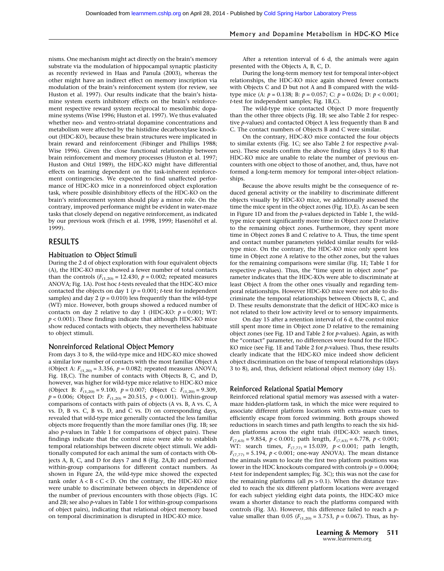nisms. One mechanism might act directly on the brain's memory substrate via the modulation of hippocampal synaptic plasticity as recently reviewed in Haas and Panula (2003), whereas the other might have an indirect effect on memory inscription via modulation of the brain's reinforcement system (for review, see Huston et al. 1997). Our results indicate that the brain's histamine system exerts inhibitory effects on the brain's reinforcement respective reward system reciprocal to mesolimbic dopamine systems (Wise 1996; Huston et al. 1997). We thus evaluated whether neo- and ventro-striatal dopamine concentrations and metabolism were affected by the histidine decarboxylase knockout (HDC-KO), because these brain structures were implicated in brain reward and reinforcement (Fibinger and Phillips 1988; Wise 1996). Given the close functional relationship between brain reinforcement and memory processes (Huston et al. 1997; Huston and Oitzl 1989), the HDC-KO might have differential effects on learning dependent on the task-inherent reinforcement contingencies. We expected to find unaffected performance of HDC-KO mice in a nonreinforced object exploration task, where possible disinhibitory effects of the HDC-KO on the brain's reinforcement system should play a minor role. On the contrary, improved performance might be evident in water-maze tasks that closely depend on negative reinforcement, as indicated by our previous work (Frisch et al. 1998, 1999; Hasenöhrl et al. 1999).

#### RESULTS

#### Habituation to Object Stimuli

During the 2 d of object exploration with four equivalent objects (A), the HDC-KO mice showed a fewer number of total contacts than the controls  $(F_{(1,20)} = 12.430, p = 0.002;$  repeated measures ANOVA; Fig. 1A). Post hoc *t*-tests revealed that the HDC-KO mice contacted the objects on day 1 ( $p = 0.001$ ; *t*-test for independent samples) and day 2 ( $p = 0.010$ ) less frequently than the wild-type (WT) mice. However, both groups showed a reduced number of contacts on day 2 relative to day 1 (HDC-KO:  $p = 0.001$ ; WT:  $p < 0.001$ ). These findings indicate that although HDC-KO mice show reduced contacts with objects, they nevertheless habituate to object stimuli.

#### Nonreinforced Relational Object Memory

From days 3 to 8, the wild-type mice and HDC-KO mice showed a similar lownumber of contacts with the most familiar Object A (Object A:  $F_{(1,20)} = 3.356$ ,  $p = 0.082$ ; repeated measures ANOVA; Fig. 1B,C). The number of contacts with Objects B, C, and D, however, was higher for wild-type mice relative to HDC-KO mice (Object B: *F*(1,20) = 9.100, *p* = 0.007; Object C: *F*(1,20) = 9.309,  $p = 0.006$ ; Object D:  $F_{(1,20)} = 20.515$ ,  $p < 0.001$ ). Within-group comparisons of contacts with pairs of objects (A vs. B, A vs. C, A vs. D, B vs. C, B vs. D, and C vs. D) on corresponding days, revealed that wild-type mice generally contacted the less familiar objects more frequently than the more familiar ones (Fig. 1B; see also *p*-values in Table 1 for comparisons of object pairs). These findings indicate that the control mice were able to establish temporal relationships between discrete object stimuli. We additionally computed for each animal the sum of contacts with Objects A, B, C, and D for days 7 and 8 (Fig. 2A,B) and performed within-group comparisons for different contact numbers. As shown in Figure 2A, the wild-type mice showed the expected rank order  $A < B < C < D$ . On the contrary, the HDC-KO mice were unable to discriminate between objects in dependence of the number of previous encounters with those objects (Figs. 1C and 2B; see also *p*-values in Table 1 for within-group comparisons of object pairs), indicating that relational object memory based on temporal discrimination is disrupted in HDC-KO mice.

After a retention interval of 6 d, the animals were again presented with the Objects A, B, C, D.

During the long-term memory test for temporal inter-object relationships, the HDC-KO mice again showed fewer contacts with Objects C and D but not A and B compared with the wildtype mice (A: *p* = 0.138; B: *p* = 0.057; C: *p* = 0.026; D: *p* < 0.001; *t*-test for independent samples; Fig. 1B,C).

The wild-type mice contacted Object D more frequently than the other three objects (Fig. 1B; see also Table 2 for respective *p*-values) and contacted Object A less frequently than B and C. The contact numbers of Objects B and C were similar.

On the contrary, HDC-KO mice contacted the four objects to similar extents (Fig. 1C; see also Table 2 for respective *p*-values). These results confirm the above finding (days 3 to 8) that HDC-KO mice are unable to relate the number of previous encounters with one object to those of another, and, thus, have not formed a long-term memory for temporal inter-object relationships.

Because the above results might be the consequence of reduced general activity or the inability to discriminate different objects visually by HDC-KO mice, we additionally assessed the time the mice spent in the object zones (Fig. 1D,E). As can be seen in Figure 1D and from the *p*-values depicted in Table 1, the wildtype mice spent significantly more time in Object zone D relative to the remaining object zones. Furthermore, they spent more time in Object zones B and C relative to A. Thus, the time spent and contact number parameters yielded similar results for wildtype mice. On the contrary, the HDC-KO mice only spent less time in Object zone A relative to the other zones, but the values for the remaining comparisons were similar (Fig. 1E; Table 1 for respective *p*-values). Thus, the "time spent in object zone" parameter indicates that the HDC-KOs were able to discriminate at least Object A from the other ones visually and regarding temporal relationships. However HDC-KO mice were not able to discriminate the temporal relationships between Objects B, C, and D. These results demonstrate that the deficit of HDC-KO mice is not related to their lowactivity level or to sensory impairments.

On day 15 after a retention interval of 6 d, the control mice still spent more time in Object zone D relative to the remaining object zones (see Fig. 1D and Table 2 for *p*-values). Again, as with the "contact" parameter, no differences were found for the HDC-KO mice (see Fig. 1E and Table 2 for *p*-values). Thus, these results clearly indicate that the HDC-KO mice indeed show deficient object discrimination on the base of temporal relationships (days 3 to 8), and, thus, deficient relational object memory (day 15).

#### Reinforced Relational Spatial Memory

Reinforced relational spatial memory was assessed with a watermaze hidden-platform task, in which the mice were required to associate different platform locations with extra-maze cues to efficiently escape from forced swimming. Both groups showed reductions in search times and path lengths to reach the six hidden platforms across the eight trials (HDC-KO: search times,  $F_{(7,63)} = 9.854$ ,  $p < 0.001$ ; path length,  $F_{(7,63)} = 6.778$ ,  $p < 0.001$ ; WT: search times,  $F_{(7,77)} = 15.039$ ,  $p < 0.001$ ; path length,  $F_{(7,77)} = 5.194$ ,  $p < 0.001$ ; one-way ANOVA). The mean distance the animals swam to locate the first two platform positions was lower in the HDC knockouts compared with controls ( $p = 0.0004$ ; *t*-test for independent samples; Fig. 3C); this was not the case for the remaining platforms (all  $ps > 0.1$ ). When the distance traveled to reach the six different platform locations were averaged for each subject yielding eight data points, the HDC-KO mice swam a shorter distance to reach the platforms compared with controls (Fig. 3A). However, this difference failed to reach a *p*value smaller than 0.05 ( $F_{(1,20)} = 3.753$ ,  $p = 0.067$ ). Thus, as hy-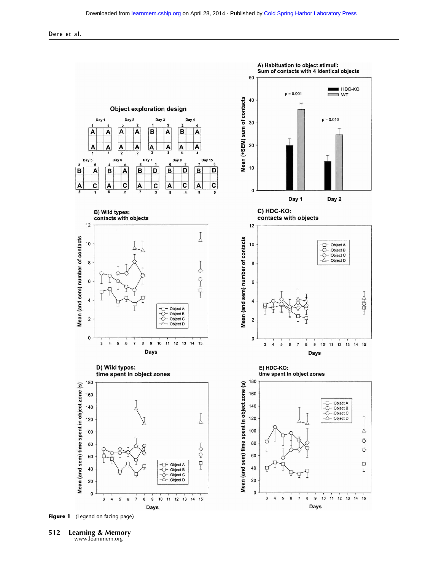

**Figure 1** (Legend on facing page)

**512 Learning & Memory** www.learnmem.org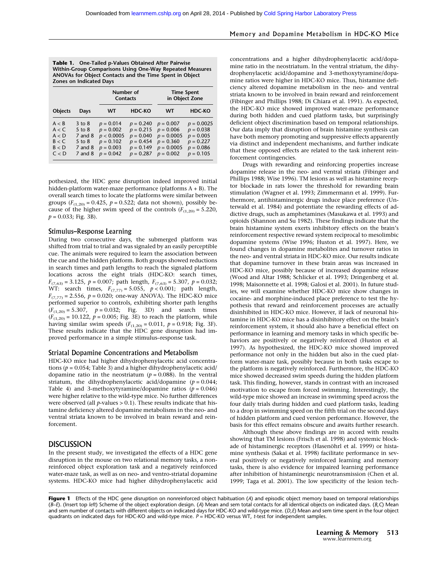**Table 1. One-Tailed p-Values Obtained After Pairwise Within-Group Comparisons Using One-Way Repeated Measures ANOVAs for Object Contacts and the Time Spent in Object Zones on Indicated Days**

|                                                    |                                                                                 | Number of<br><b>Contacts</b>                                                          |                                                                                        |                                                                                          | <b>Time Spent</b><br>in Object Zone                                                     |
|----------------------------------------------------|---------------------------------------------------------------------------------|---------------------------------------------------------------------------------------|----------------------------------------------------------------------------------------|------------------------------------------------------------------------------------------|-----------------------------------------------------------------------------------------|
| <b>Objects</b>                                     | Days                                                                            | <b>WT</b>                                                                             | <b>HDC-KO</b>                                                                          | WТ                                                                                       | HDC-KO                                                                                  |
| A < B<br>A < C<br>A < D<br>B < C<br>B < D<br>C < D | $3$ to $8$<br>$5$ to $8$<br>$7$ and $8$<br>$5$ to $8$<br>$7$ and $8$<br>7 and 8 | $p = 0.014$<br>$p = 0.002$<br>p < 0.0005<br>$p = 0.102$<br>$p = 0.003$<br>$p = 0.042$ | $p = 0.240$<br>$p = 0.215$<br>$p = 0.040$<br>$p = 0.454$<br>$p = 0.149$<br>$p = 0.287$ | $p = 0.007$<br>$p = 0.006$<br>$p = 0.0005$<br>$p = 0.360$<br>$p = 0.0005$<br>$p = 0.002$ | $p = 0.0025$<br>$p = 0.038$<br>$p = 0.005$<br>$p = 0.227$<br>$p = 0.086$<br>$p = 0.105$ |

pothesized, the HDC gene disruption indeed improved initial hidden-platform water-maze performance (platforms  $A + B$ ). The overall search times to locate the platforms were similar between groups ( $F_{(1,20)} = 0.425$ ,  $p = 0.522$ ; data not shown), possibly because of the higher swim speed of the controls  $(F_{(1,20)} = 5.220)$ ,  $p = 0.033$ ; Fig. 3B).

## Stimulus–Response Learning

During two consecutive days, the submerged platform was shifted from trial to trial and was signaled by an easily perceptible cue. The animals were required to learn the association between the cue and the hidden platform. Both groups showed reductions in search times and path lengths to reach the signaled platform locations across the eight trials (HDC-KO: search times,  $F_{(7,63)} = 3.125$ ,  $p = 0.007$ ; path length,  $F_{(7,63)} = 5.307$ ,  $p = 0.032$ ; WT: search times,  $F_{(7,77)} = 5.055$ ,  $p < 0.001$ ; path length,  $F_{(7,77)} = 2.556$ ,  $p = 0.020$ ; one-way ANOVA). The HDC-KO mice performed superior to controls, exhibiting shorter path lengths  $(F_{(1,20)} = 5.307, p = 0.032;$  Fig. 3D) and search times  $(F_{(1,20)} = 10.122, p = 0.005;$  Fig. 3E) to reach the platform, while having similar swim speeds  $(F_{(1,20)} = 0.011, p = 0.918;$  Fig. 3F). These results indicate that the HDC gene disruption had improved performance in a simple stimulus–response task.

#### Striatal Dopamine Concentrations and Metabolism

HDC-KO mice had higher dihydrophenylacetic acid concentrations ( $p = 0.054$ ; Table 3) and a higher dihydrophenylacetic acid/ dopamine ratio in the neostriatum  $(p = 0.088)$ . In the ventral striatum, the dihydrophenylacetic acid/dopamine (*p* = 0.044; Table 4) and 3-methoxytyramine/dopamine ratios  $(p = 0.046)$ were higher relative to the wild-type mice. No further differences were observed (all  $p$ -values  $> 0.1$ ). These results indicate that histamine deficiency altered dopamine metabolisms in the neo- and ventral striata known to be involved in brain reward and reinforcement.

## **DISCUSSION**

In the present study, we investigated the effects of a HDC gene disruption in the mouse on two relational memory tasks, a nonreinforced object exploration task and a negatively reinforced water-maze task, as well as on neo- and ventro-striatal dopamine systems. HDC-KO mice had higher dihydrophenylacetic acid concentrations and a higher dihydrophenylacetic acid/dopamine ratio in the neostriatum. In the ventral striatum, the dihydrophenylacetic acid/dopamine and 3-methoxytyramine/dopamine ratios were higher in HDC-KO mice. Thus, histamine deficiency altered dopamine metabolism in the neo- and ventral striata known to be involved in brain reward and reinforcement (Fibinger and Phillips 1988; Di Chiara et al. 1991). As expected, the HDC-KO mice showed improved water-maze performance during both hidden and cued platform tasks, but surprisingly deficient object discrimination based on temporal relationships. Our data imply that disruption of brain histamine synthesis can have both memory promoting and suppressive effects apparently via distinct and independent mechanisms, and further indicate that these opposed effects are related to the task inherent reinforcement contingencies.

Drugs with rewarding and reinforcing properties increase dopamine release in the neo- and ventral striata (Fibinger and Phillips 1988; Wise 1996). TM lesions as well as histamine receptor blockade in rats lower the threshold for rewarding brain stimulation (Wagner et al. 1993; Zimmermann et al. 1999). Furthermore, antihistaminergic drugs induce place preference (Unterwald et al. 1984) and potentiate the rewarding effects of addictive drugs, such as amphetamines (Masukawa et al. 1993) and opioids (Shannon and Su 1982). These findings indicate that the brain histamine system exerts inhibitory effects on the brain's reinforcement respective reward system reciprocal to mesolimbic dopamine systems (Wise 1996; Huston et al. 1997). Here, we found changes in dopamine metabolites and turnover ratios in the neo- and ventral striata in HDC-KO mice. Our results indicate that dopamine turnover in these brain areas was increased in HDC-KO mice, possibly because of increased dopamine release (Wood and Altar 1988; Schlicker et al. 1993; Dringenberg et al. 1998; Maisonnette et al. 1998; Galosi et al. 2001). In future studies, we will examine whether HDC-KO mice show changes in cocaine- and morphine-induced place preference to test the hypothesis that reward and reinforcement processes are actually disinhibited in HDC-KO mice. However, if lack of neuronal histamine in HDC-KO mice has a disinhibitory effect on the brain's reinforcement system, it should also have a beneficial effect on performance in learning and memory tasks in which specific behaviors are positively or negatively reinforced (Huston et al. 1997). As hypothesized, the HDC-KO mice showed improved performance not only in the hidden but also in the cued platform water-maze task, possibly because in both tasks escape to the platform is negatively reinforced. Furthermore, the HDC-KO mice showed decreased swim speeds during the hidden platform task. This finding, however, stands in contrast with an increased motivation to escape from forced swimming. Interestingly, the wild-type mice showed an increase in swimming speed across the four daily trials during hidden and cued platform tasks, leading to a drop in swimming speed on the fifth trial on the second days of hidden platform and cued version performance. However, the basis for this effect remains obscure and awaits further research.

Although these above findings are in accord with results showing that TM lesions (Frisch et al. 1998) and systemic blockade of histaminergic receptors (Hasenöhrl et al. 1999) or histamine synthesis (Sakai et al. 1998) facilitate performance in several positively or negatively reinforced learning and memory tasks, there is also evidence for impaired learning performance after inhibition of histaminergic neurotransmission (Chen et al. 1999; Taga et al. 2001). The low specificity of the lesion tech-

**Figure 1** Effects of the HDC gene disruption on nonreinforced object habituation (*A*) and episodic object memory based on temporal relationships (*B*–*E*). (Inserttop *left*) Scheme of the object exploration design. (*A*) Mean and sem total contacts for all identical objects on indicated days. (*B*,*C*) Mean and sem number of contacts with different objects on indicated days for HDC-KO and wild-type mice. (*D*,*E*) Mean and sem time spent in the four object quadrants on indicated days for HDC-KO and wild-type mice.  $P = \text{HDC-KO}$  versus WT, *t*-test for independent samples.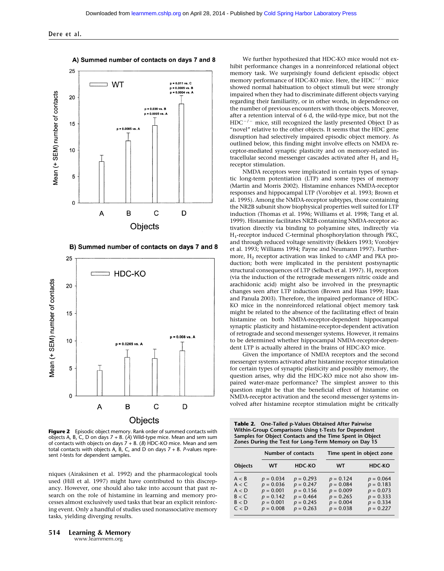

# B) Summed number of contacts on days 7 and 8



**Figure 2** Episodic object memory. Rank order of summed contacts with objects A, B, C, D on days 7 + 8. (*A*) Wild-type mice. Mean and sem sum of contacts with objects on days 7 + 8. (*B*) HDC-KO mice. Mean and sem total contacts with objects A, B, C, and D on days 7 + 8. *P*-values represent *t*-tests for dependent samples.

niques (Airaksinen et al. 1992) and the pharmacological tools used (Hill et al. 1997) might have contributed to this discrepancy. However, one should also take into account that past research on the role of histamine in learning and memory processes almost exclusively used tasks that bear an explicit reinforcing event. Only a handful of studies used nonassociative memory tasks, yielding diverging results.

We further hypothesized that HDC-KO mice would not exhibit performance changes in a nonreinforced relational object memory task. We surprisingly found deficient episodic object memory performance of HDC-KO mice. Here, the HDC $^{-/-}$  mice showed normal habituation to object stimuli but were strongly impaired when they had to discriminate different objects varying regarding their familiarity, or in other words, in dependence on the number of previous encounters with those objects. Moreover, after a retention interval of 6 d, the wild-type mice, but not the  $HDC^{-/-}$  mice, still recognized the lastly presented Object D as "novel" relative to the other objects. It seems that the HDC gene disruption had selectively impaired episodic object memory. As outlined below, this finding might involve effects on NMDA receptor-mediated synaptic plasticity and on memory-related intracellular second messenger cascades activated after  $H_1$  and  $H_2$ receptor stimulation.

NMDA receptors were implicated in certain types of synaptic long-term potentiation (LTP) and some types of memory (Martin and Morris 2002). Histamine enhances NMDA-receptor responses and hippocampal LTP (Vorobjev et al. 1993; Brown et al. 1995). Among the NMDA-receptor subtypes, those containing the NR2B subunit show biophysical properties well suited for LTP induction (Thomas et al. 1996; Williams et al. 1998; Tang et al. 1999). Histamine facilitates NR2B containing NMDA-receptor activation directly via binding to polyamine sites, indirectly via H1-receptor induced C-terminal phosphorylation through PKC, and through reduced voltage sensitivity (Bekkers 1993; Vorobjev et al. 1993; Williams 1994; Payne and Neumann 1997). Furthermore,  $H_2$  receptor activation was linked to cAMP and PKA production; both were implicated in the persistent postsynaptic structural consequences of LTP (Selbach et al. 1997).  $H_1$  receptors (via the induction of the retrograde messengers nitric oxide and arachidonic acid) might also be involved in the presynaptic changes seen after LTP induction (Brown and Haas 1999; Haas and Panula 2003). Therefore, the impaired performance of HDC-KO mice in the nonreinforced relational object memory task might be related to the absence of the facilitating effect of brain histamine on both NMDA-receptor-dependent hippocampal synaptic plasticity and histamine-receptor-dependent activation of retrograde and second messenger systems. However, it remains to be determined whether hippocampal NMDA-receptor-dependent LTP is actually altered in the brains of HDC-KO mice.

Given the importance of NMDA receptors and the second messenger systems activated after histamine receptor stimulation for certain types of synaptic plasticity and possibly memory, the question arises, why did the HDC-KO mice not also show impaired water-maze performance? The simplest answer to this question might be that the beneficial effect of histamine on NMDA-receptor activation and the second messenger systems involved after histamine receptor stimulation might be critically

|                                                          | Table 2. One-Tailed p-Values Obtained After Pairwise |  |  |  |  |
|----------------------------------------------------------|------------------------------------------------------|--|--|--|--|
|                                                          | Within-Group Comparisons Using t-Tests for Dependent |  |  |  |  |
| Samples for Object Contacts and the Time Spent in Object |                                                      |  |  |  |  |
| Zones During the Test for Long-Term Memory on Day 15     |                                                      |  |  |  |  |

|                                                    |                                                                                        | Number of contacts                                                                     |                                                                                        | Time spent in object zone                                                              |  |  |
|----------------------------------------------------|----------------------------------------------------------------------------------------|----------------------------------------------------------------------------------------|----------------------------------------------------------------------------------------|----------------------------------------------------------------------------------------|--|--|
| <b>Objects</b>                                     | <b>WT</b>                                                                              | <b>HDC-KO</b>                                                                          | <b>WT</b>                                                                              | <b>HDC-KO</b>                                                                          |  |  |
| A < B<br>A < C<br>A < D<br>B < C<br>B < D<br>C < D | $p = 0.034$<br>$p = 0.036$<br>$p = 0.001$<br>$p = 0.142$<br>$p = 0.001$<br>$p = 0.008$ | $p = 0.293$<br>$p = 0.247$<br>$p = 0.156$<br>$p = 0.464$<br>$p = 0.245$<br>$p = 0.263$ | $p = 0.124$<br>$p = 0.084$<br>$p = 0.009$<br>$p = 0.265$<br>$p = 0.004$<br>$p = 0.038$ | $p = 0.064$<br>$p = 0.183$<br>$p = 0.073$<br>$p = 0.333$<br>$p = 0.334$<br>$p = 0.227$ |  |  |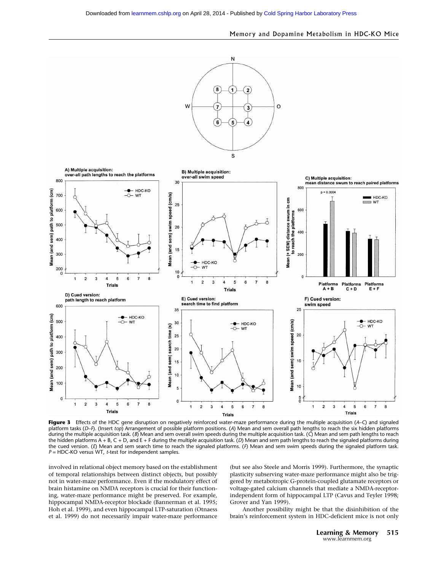

**Figure 3** Effects of the HDC gene disruption on negatively reinforced water-maze performance during the multiple acquisition (*A*–*C*) and signaled platform tasks (*D*–*F*). (Insert *top*) Arrangement of possible platform positions. (*A*) Mean and sem overall path lengths to reach the six hidden platforms during the multiple acquisition task. (*B*) Mean and sem overall swim speeds during the multiple acquisition task. (*C*) Mean and sem path lengths to reach the hidden platforms A + B, C + D, and E + F during the multiple acquisition task. (*D*) Mean and sem path lengths to reach the signaled platforms during the cued version. (*E*) Mean and sem search time to reach the signaled platforms. (*F*) Mean and sem swim speeds during the signaled platform task. *P* = HDC-KO versus WT, *t*-test for independent samples.

involved in relational object memory based on the establishment of temporal relationships between distinct objects, but possibly not in water-maze performance. Even if the modulatory effect of brain histamine on NMDA receptors is crucial for their functioning, water-maze performance might be preserved. For example, hippocampal NMDA-receptor blockade (Bannerman et al. 1995; Hoh et al. 1999), and even hippocampal LTP-saturation (Otnaess et al. 1999) do not necessarily impair water-maze performance

(but see also Steele and Morris 1999). Furthermore, the synaptic plasticity subserving water-maze performance might also be triggered by metabotropic G-protein-coupled glutamate receptors or voltage-gated calcium channels that mediate a NMDA-receptorindependent form of hippocampal LTP (Cavus and Teyler 1998; Grover and Yan 1999).

Another possibility might be that the disinhibition of the brain's reinforcement system in HDC-deficient mice is not only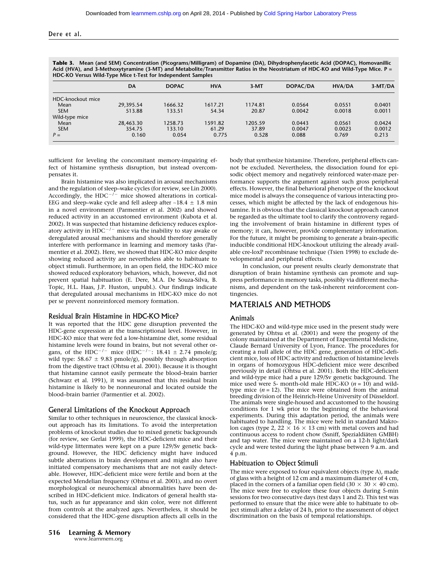**Table 3. Mean (and SEM) Concentration (Picograms/Milligram) of Dopamine (DA), Dihydrophenylacetic Acid (DOPAC), Homovanillic Acid (HVA), and 3-Methoxytyramine (3-MT) and Metabolite/Transmitter Ratios in the Neostriatum of HDC-KO and Wild-Type Mice. P = HDC-KO Versus Wild-Type Mice t-Test for Independent Samples**

|                   | DA        | <b>DOPAC</b> | <b>HVA</b> | $3-MT$  | DOPAC/DA | HVA/DA | 3-MT/DA |
|-------------------|-----------|--------------|------------|---------|----------|--------|---------|
|                   |           |              |            |         |          |        |         |
| HDC-knockout mice |           |              |            |         |          |        |         |
| Mean              | 29,395.54 | 1666.32      | 1617.21    | 1174.81 | 0.0564   | 0.0551 | 0.0401  |
| <b>SEM</b>        | 513.88    | 133.51       | 54.34      | 20.87   | 0.0042   | 0.0018 | 0.0011  |
| Wild-type mice    |           |              |            |         |          |        |         |
| Mean              | 28,463.30 | 1258.73      | 1591.82    | 1205.59 | 0.0443   | 0.0561 | 0.0424  |
| <b>SEM</b>        | 354.75    | 133.10       | 61.29      | 37.89   | 0.0047   | 0.0023 | 0.0012  |
| $P =$             | 0.160     | 0.054        | 0.775      | 0.528   | 0.088    | 0.769  | 0.213   |

sufficient for leveling the concomitant memory-impairing effect of histamine synthesis disruption, but instead overcompensates it.

Brain histamine was also implicated in arousal mechanisms and the regulation of sleep–wake cycles (for review, see Lin 2000). Accordingly, the  $HDC^{-/-}$  mice showed alterations in cortical-EEG and sleep–wake cycle and fell asleep after ~18.4  $\pm$  1.8 min in a novel environment (Parmentier et al. 2002) and showed reduced activity in an accustomed environment (Kubota et al. 2002). It was suspected that histamine deficiency reduces exploratory activity in HDC<sup> $-/-$ </sup> mice via the inability to stay awake or deregulated arousal mechanisms and should therefore generally interfere with performance in learning and memory tasks (Parmentier et al. 2002). Here, we showed that HDC-KO mice despite showing reduced activity are nevertheless able to habituate to object stimuli. Furthermore, in an open field, the HDC-KO mice showed reduced exploratory behaviors, which, however, did not prevent spatial habituation (E. Dere, M.A. De Souza-Silva, B. Topic, H.L. Haas, J.P. Huston, unpubl.). Our findings indicate that deregulated arousal mechanisms in HDC-KO mice do not per se prevent nonreinforced memory formation.

#### Residual Brain Histamine in HDC-KO Mice?

It was reported that the HDC gene disruption prevented the HDC-gene expression at the transcriptional level. However, in HDC-KO mice that were fed a low-histamine diet, some residual histamine levels were found in brains, but not several other organs, of the HDC<sup>-/-</sup> mice (HDC<sup>-/-</sup>: 18.41  $\pm$  2.74 pmole/g; wild type:  $58.67 \pm 9.83$  pmole/g), possibly through absorption from the digestive tract (Ohtsu et al. 2001). Because it is thought that histamine cannot easily permeate the blood–brain barrier (Schwarz et al. 1991), it was assumed that this residual brain histamine is likely to be nonneuronal and located outside the blood–brain barrier (Parmentier et al. 2002).

#### General Limitations of the Knockout Approach

Similar to other techniques in neuroscience, the classical knockout approach has its limitations. To avoid the interpretation problems of knockout studies due to mixed genetic backgrounds (for review, see Gerlai 1999), the HDC-deficient mice and their wild-type littermates were kept on a pure 129/Sv genetic background. However, the HDC deficiency might have induced subtle aberrations in brain development and might also have initiated compensatory mechanisms that are not easily detectable. However, HDC-deficient mice were fertile and born at the expected Mendelian frequency (Ohtsu et al. 2001), and no overt morphological or neurochemical abnormalities have been described in HDC-deficient mice. Indicators of general health status, such as fur appearance and skin color, were not different from controls at the analyzed ages. Nevertheless, it should be considered that the HDC-gene disruption affects all cells in the

body that synthesize histamine. Therefore, peripheral effects cannot be excluded. Nevertheless, the dissociation found for episodic object memory and negatively reinforced water-maze performance supports the argument against such gross peripheral effects. However, the final behavioral phenotype of the knockout mice model is always the consequence of various interacting processes, which might be affected by the lack of endogenous histamine. It is obvious that the classical knockout approach cannot be regarded as the ultimate tool to clarify the controversy regarding the involvement of brain histamine in different types of memory; it can, however, provide complementary information. For the future, it might be promising to generate a brain-specific inducible conditional HDC-knockout utilizing the already available cre-loxP recombinase technique (Tsien 1998) to exclude developmental and peripheral effects.

In conclusion, our present results clearly demonstrate that disruption of brain histamine synthesis can promote and suppress performance in memory tasks, possibly via different mechanisms, and dependent on the task-inherent reinforcement contingencies.

# MATERIALS AND METHODS

#### Animals

The HDC-KO and wild-type mice used in the present study were generated by Ohtsu et al. (2001) and were the progeny of the colony maintained at the Department of Experimental Medicine, Claude Bernard University of Lyon, France. The procedures for creating a null allele of the HDC gene, generation of HDC-deficient mice, loss of HDC activity and reduction of histamine levels in organs of homozygous HDC-deficient mice were described previously in detail (Ohtsu et al. 2001). Both the HDC-deficient and wild-type mice had a pure 129/Sv genetic background. The mice used were 5- month-old male HDC-KO  $(n = 10)$  and wildtype mice  $(n = 12)$ . The mice were obtained from the animal breeding division of the Heinrich-Heine University of Düsseldorf. The animals were single-housed and accustomed to the housing conditions for 1 wk prior to the beginning of the behavioral experiments. During this adaptation period, the animals were habituated to handling. The mice were held in standard Makrolon cages (type 2,  $22 \times 16 \times 13$  cm) with metal covers and had continuous access to rodent chow(Ssniff, Spezialdiäten GMBH) and tap water. The mice were maintained on a 12-h light/dark cycle and were tested during the light phase between 9 a.m. and 4 p.m.

#### Habituation to Object Stimuli

The mice were exposed to four equivalent objects (type A), made of glass with a height of 12 cm and a maximum diameter of 4 cm, placed in the corners of a familiar open field  $(30 \times 30 \times 40 \text{ cm})$ . The mice were free to explore these four objects during 5-min sessions for two consecutive days (test days 1 and 2). This test was performed to ensure that the mice were able to habituate to object stimuli after a delay of 24 h, prior to the assessment of object discrimination on the basis of temporal relationships.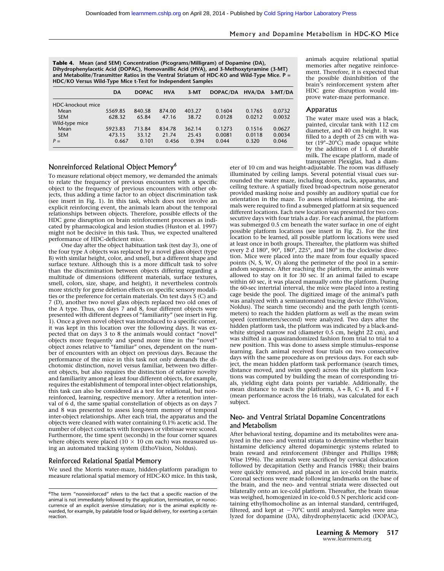**Table 4. Mean (and SEM) Concentration (Picograms/Milligram) of Dopamine (DA), Dihydrophenylacetic Acid (DOPAC), Homovanillic Acid (HVA), and 3-Methoxytyramine (3-MT) and Metabolite/Transmitter Ratios in the Ventral Striatum of HDC-KO and Wild-Type Mice. P = HDC/KO Versus Wild-Type Mice t-Test for Independent Samples**

|                   | DA      | <b>DOPAC</b> | <b>HVA</b> |        |          | HVA/DA |         |
|-------------------|---------|--------------|------------|--------|----------|--------|---------|
|                   |         |              |            | $3-MT$ | DOPAC/DA |        | 3-MT/DA |
| HDC-knockout mice |         |              |            |        |          |        |         |
| Mean              | 5569.85 | 840.58       | 874.00     | 403.27 | 0.1604   | 0.1765 | 0.0732  |
| <b>SEM</b>        | 628.32  | 65.84        | 47.16      | 38.72  | 0.0128   | 0.0212 | 0.0032  |
| Wild-type mice    |         |              |            |        |          |        |         |
| Mean              | 5923.83 | 713.84       | 834.78     | 362.14 | 0.1273   | 0.1516 | 0.0627  |
| <b>SEM</b>        | 473.15  | 33.12        | 21.74      | 25.43  | 0.0081   | 0.0118 | 0.0034  |
| $P =$             | 0.667   | 0.101        | 0.456      | 0.394  | 0.044    | 0.320  | 0.046   |

## Nonreinforced Relational Object Memory6

To measure relational object memory, we demanded the animals to relate the frequency of previous encounters with a specific object to the frequency of previous encounters with other objects, thus adding a time factor to an object discrimination task (see insert in Fig. 1). In this task, which does not involve an explicit reinforcing event, the animals learn about the temporal relationships between objects. Therefore, possible effects of the HDC gene disruption on brain reinforcement processes as indicated by pharmacological and lesion studies (Huston et al. 1997) might not be decisive in this task. Thus, we expected unaltered performance of HDC-deficient mice.

One day after the object habituation task (test day 3), one of the four type A objects was replaced by a novel glass object (type B) with similar height, color, and smell, but a different shape and surface texture. Although this is a more difficult task to solve than the discrimination between objects differing regarding a multitude of dimensions (different materials, surface textures, smell, colors, size, shape, and height), it nevertheless controls more strictly for gene deletion effects on specific sensory modalities or the preference for certain materials. On test days 5 (C) and 7 (D), another two novel glass objects replaced two old ones of the A type. Thus, on days 7 and 8, four different objects were presented with different degrees of "familiarity" (see insert in Fig. 1). Once a given novel object was introduced to a specific corner, it was kept in this location over the following days. It was expected that on days 3 to 8 the animals would contact "novel" objects more frequently and spend more time in the "novel" object zones relative to "familiar" ones, dependent on the number of encounters with an object on previous days. Because the performance of the mice in this task not only demands the dichotomic distinction, novel versus familiar, between two different objects, but also requires the distinction of relative novelty and familiarity among at least four different objects, for example, requires the establishment of temporal inter-object relationships, this task can also be considered as a test for relational, but nonreinforced, learning, respective memory. After a retention interval of 6 d, the same spatial constellation of objects as on days 7 and 8 was presented to assess long-term memory of temporal inter-object relationships. After each trial, the apparatus and the objects were cleaned with water containing 0.1% acetic acid. The number of object contacts with forepaws or vibrissae were scored. Furthermore, the time spent (seconds) in the four corner squares where objects were placed (10  $\times$  10 cm each) was measured using an automated tracking system (EthoVision, Noldus).

#### Reinforced Relational Spatial Memory

We used the Morris water-maze, hidden-platform paradigm to measure relational spatial memory of HDC-KO mice. In this task, animals acquire relational spatial memories after negative reinforcement. Therefore, it is expected that the possible disinhibition of the brain's reinforcement system after HDC gene disruption would improve water-maze performance.

#### Apparatus

The water maze used was a black, painted, circular tank with 112 cm diameter, and 40 cm height. It was filled to a depth of 25 cm with water (19°–20°C) made opaque white by the addition of  $1 \t{L}$  of durable milk. The escape platform, made of transparent Plexiglas, had a diam-

eter of 10 cm and was height-adjustable. The room was diffusely illuminated by ceiling lamps. Several potential visual cues surrounded the water maze, including doors, racks, apparatus, and ceiling texture. A spatially fixed broad-spectrum noise generator provided masking noise and possibly an auditory spatial cue for orientation in the maze. To assess relational learning, the animals were required to find a submerged platform at six sequenced different locations. Each new location was presented for two consecutive days with four trials a day. For each animal, the platform was submerged 0.5 cm beneath the water surface in one of eight possible platform locations (see insert in Fig. 2). For the first location to be learned, all possible platform locations were used at least once in both groups. Thereafter, the platform was shifted every 2 d 180°, 90°, 180°, 225°, and 180° in the clockwise direction. Mice were placed into the maze from four equally spaced points (N, S, W, O) along the perimeter of the pool in a semirandom sequence. After reaching the platform, the animals were allowed to stay on it for 30 sec. If an animal failed to escape within 60 sec, it was placed manually onto the platform. During the 60-sec intertrial interval, the mice were placed into a resting cage beside the pool. The digitized image of the animal's path was analyzed with a semiautomated tracing device (EthoVision, Noldus). The search time (seconds) and the path length (centimeters) to reach the hidden platform as well as the mean swim speed (centimeters/second) were analyzed. Two days after the hidden platform task, the platform was indicated by a black-andwhite striped narrow rod (diameter 0.5 cm, height 22 cm), and was shifted in a quasirandomized fashion from trial to trial to a new position. This was done to assess simple stimulus–response learning. Each animal received four trials on two consecutive days with the same procedure as on previous days. For each subject, the mean hidden platform task performance (search times, distance moved, and swim speed) across the six platform locations was computed by building the mean of corresponding trials, yielding eight data points per variable. Additionally, the mean distance to reach the platforms,  $A + B$ ,  $C + B$ , and  $E + F$ (mean performance across the 16 trials), was calculated for each subject.

#### Neo- and Ventral Striatal Dopamine Concentrations and Metabolism

After behavioral testing, dopamine and its metabolites were analyzed in the neo- and ventral striata to determine whether brain histamine deficiency altered dopaminergic systems related to brain reward and reinforcement (Fibinger and Phillips 1988; Wise 1996). The animals were sacrificed by cervical dislocation followed by decapitation (Sethy and Francis 1988); their brains were quickly removed, and placed in an ice-cold brain matrix. Coronal sections were made following landmarks on the base of the brain, and the neo- and ventral striata were dissected out bilaterally onto an ice-cold platform. Thereafter, the brain tissue was weighed, homogenized in ice-cold 0.5 N perchloric acid containing ethylhomocholine as an internal standard, centrifuged, filtered, and kept at  $-70^{\circ}$ C until analyzed. Samples were analyzed for dopamine (DA), dihydrophenylacetic acid (DOPAC),

<sup>&</sup>lt;sup>6</sup>The term "nonreinforced" refers to the fact that a specific reaction of the animal is not immediately followed by the application, termination, or nonoccurrence of an explicit aversive stimulation; nor is the animal explicitly rewarded, for example, by palatable food or liquid delivery, for exerting a certain reaction.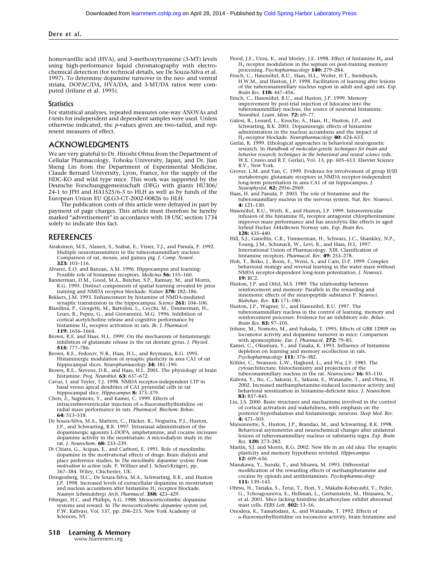homovanillic acid (HVA), and 3-methoxytyramine (3-MT) levels using high-performance liquid chromatography with electrochemical detection (for technical details, see De Souza-Silva et al. 1997). To determine dopamine turnover in the neo- and ventral striata, DOPAC/DA, HVA/DA, and 3-MT/DA ratios were computed (Irifune et al. 1995).

#### **Statistics**

For statistical analyses, repeated measures one-way ANOVAs and *t*-tests for independent and dependent samples were used. Unless otherwise indicated, the *p*-values given are two-tailed, and represent measures of effect.

### ACKNOWLEDGMENTS

We are very grateful to Dr. Hiroshi Ohtsu from the Department of Cellular Pharmacology, Tohoku University, Japan, and Dr. Jian Sheng Lin from the Department of Experimental Medicine, Claude Bernard University, Lyon, France, for the supply of the HDC-KO and wild type mice. This work was supported by the Deutsche Forschungsgemeinschaft (DFG) with grants HU306/ 24-1 to JPH and HA1525/6-3 to HLH as well as by funds of the European Union EU QLG3-CT-2002-00826 to HLH.

The publication costs of this article were defrayed in part by payment of page charges. This article must therefore be hereby marked "advertisement" in accordance with 18 USC section 1734 solely to indicate this fact.

#### REFERENCES

- Airaksinen, M.S., Alanen, S., Szabat, E., Visser, T.J., and Panula, P. 1992. Multiple neurotransmitters in the tuberomammillary nucleus: Comparison of rat, mouse, and guinea pig. *J. Comp. Neurol.* **323:** 103–116.
- Alvarez, E.O. and Banzan, A.M. 1996. Hippocampus and learning: Possible role of histamine receptors. *Medicina* **56:** 155–160.
- Bannerman, D.M., Good, M.A., Butcher, S.P., Ramsay, M., and Morris, R.G. 1995. Distinct components of spatial learning revealed by prior training and NMDA receptor blockade. *Nature* **378:** 182–186.
- Bekkers, J.M. 1993. Enhancement by histamine of NMDA-mediated synaptic transmission in the hippocampus. *Science* **261:** 104–106.
- Blandina, P., Giorgetti, M., Bartolini, L., Cecchi, M., Timmerman, H., Leurs, R., Pepeu, G., and Giovannini, M.G. 1996. Inhibition of cortical acetylcholine release and cognitive performance by histamine H<sub>3</sub> receptor activation in rats. *Br. J. Pharmacol.* **119:** 1656–1664.
- Brown, R.E. and Haas, H.L. 1999. On the mechanism of histaminergic inhibition of glutamate release in the rat dentate gyrus. *J. Physiol.* **515:** 777–786.
- Brown, R.E., Fedorov, N.B., Haas, H.L., and Reymann, K.G. 1995. Histaminergic modulation of synaptic plasticity in area CA1 of rat
- hippocampal slices. *Neuropharmacology* **34:** 181–190. Brown, R.E., Stevens, D.R., and Haas, H.L. 2001. The physiology of brain histamine. *Prog. Neurobiol.* **63:** 637–672.
- Cavus, I. and Teyler, T.J. 1998. NMDA receptor-independent LTP in basal versus apical dendrites of CA1 pyramidal cells in rat hippocampal slice. *Hippocampus* **8:** 373–379.
- Chen, Z., Sugimoto, Y., and Kamei, C. 1999. Effects of intracerebroventricular injection of  $\alpha$ -fluoromethylhistidine on radial maze performance in rats. *Pharmacol. Biochem. Behav.* **64:** 513–518.
- De Souza-Silva, M.A., Mattern, C., Häcker, R., Nogueira, P.J., Huston, J.P., and Schwarting, R.K. 1997. Intranasal administration of the dopaminergic agonists L-DOPA, amphetamine, and cocaine increases dopamine activity in the neostriatum: A microdialysis study in the rat. *J. Neurochem.* **68:** 233–239.
- Di Chiara, G., Acquas, E., and Carboni, E. 1991. Role of mesolimbic dopamine in the motivational effects of drugs: Brain dialysis and place preference studies. In *The mesolimbic dopamine system: From motivation to action* (eds. P. Willner and J. Scheel-Krüger), pp. 367–384. Wiley, Chichester, UK.
- Dringenberg, H.C., De Souza-Silva, M.A., Schwarting, R.K., and Huston J.P. 1998. Increased levels of extracellular dopamine in neostriatum and nucleus accumbens after histamine  $H_1$  receptor blockade. *Naunyn Schmiedebergs Arch. Pharmacol.* **358:** 423–429.
- Fibinger, H.C. and Phillips, A.G. 1988. Mesocorticolimbic dopamine systems and reward. In *The mesocorticolimbic dopamine system* (ed. P.W. Kalivas), Vol. 537, pp. 206–215. NewYork Academy of Sciences, NY.
- Flood, J.F., Uezu, K., and Morley, J.E. 1998. Effect of histamine  $\rm H_{2}$  and H3 receptor modulation in the septum on post-training memory processing. *Psychopharmacology* **140:** 279–284.
	- Frisch, C., Hasenöhrl, R.U., Haas, H.L., Weiler, H.T., Steinbusch, H.W.M., and Huston, J.P. 1998. Facilitation of learning after lesions of the tuberomammillary nucleus region in adult and aged rats. *Exp. Brain Res.* **118:** 447–456.
	- Frisch, C., Hasenöhrl, R.U., and Huston, J.P. 1999. Memory improvement by post-trial injection of lidocaine into the tuberomammillary nucleus, the source of neuronal histamine. *Neurobiol. Learn. Mem.* **72:** 69–77.
	- Galosi, R., Lenard, L., Knoche, A., Haas, H., Huston, J.P., and Schwarting, R.K. 2001. Dopaminergic effects of histamine administration in the nucleus accumbens and the impact of H1-receptor blockade. *Neuropharmacology* **40:** 624–633.
	- Gerlai, R. 1999. Ethological approaches in behavioral neurogenetic research. In *Handbook of molecular-genetic techniques for brain and behavior research; techniques in the behavioral and neural science* (eds. W.E. Crusio and R.T. Gerlai), Vol. 13, pp. 605–613. Elsevier Science B.V., New York.
	- Grover, L.M. and Yan, C. 1999. Evidence for involvement of group II/III metabotropic glutamate receptors in NMDA receptor-independent long-term potentiation in area CA1 of rat hippocampus. *J. Neurophysiol.* **82:** 2956–2969.
	- Haas, H. and Panula, P. 2003. The role of histamine and the tuberomamillary nucleus in the nervous system. *Nat. Rev. Neurosci.* **4:** 121–130.
	- Hasenöhrl, R.U., Weth, K., and Huston, J.P. 1999. Intraventricular infusion of the histamine  $H_1$  receptor antagonist chlorpheniramine improves maze performance and has anxiolytic-like effects in aged hybrid Fischer 344xBrown Norway rats. *Exp. Brain Res.* **128:** 435–440.
	- Hill, S.J., Ganellin, C.R., Timmerman, H., Schwarz, J.C., Shankley, N.P., Young, J.M., Schunack, W., Levi, R., and Haas, H.L. 1997. International Union of Pharmacology. XIII. Classification of histamine receptors. *Pharmacol. Rev.* **49:** 253–278.
	- Hoh, T., Beiko, J., Boon, F., Weiss, S., and Cain, D.P. 1999. Complex behavioral strategy and reversal learning in the water maze without NMDA receptor-dependent long-term potentiation. *J. Neurosci.* **19:** RC2.
	- Huston, J.P. and Oitzl, M.S. 1989. The relationship between reinforcement and memory: Parallels in the rewarding and mnemonic effects of the neuropeptide substance P. *Neurosci. Biobehav. Rev.* **13:** 171–180.
	- Huston, J.P., Wagner, U., and Hasenöhrl, R.U. 1997. The tuberomammillary nucleus in the control of learning, memory and reinforcement processes: Evidence for an inhibitory role. *Behav. Brain Res.* **83:** 97–105.
	- Irifune, M., Nomoto, M., and Fukuda, T. 1995. Effects of GBR 12909 on locomotor activity and dopamine turnover in mice: Comparison with apomorphine. *Eur. J. Pharmacol.* **272:** 79–85.
	- Kamei, C., Okumura, Y., and Tasaka, K. 1993. Influence of histamine depletion on learning and memory recollection in rats. *Psychopharmacology* **111:** 376–382.
	- Köhler, C., Swanson, L.W., Haglund, L., and Wu, J.Y. 1985. The cytoarchitecture, histochemistry and projections of the tuberomammillary nucleus in the rat. *Neuroscience* **16:** 85–110.
	- Kubota, Y., Ito, C., Sakurai, E., Sakurai, E., Watanabe, T., and Ohtsu, H. 2002. Increased methamphetamine-induced locomotor activity and behavioral sensitization in histamine-deficient mice. *J. Neurochem.* **83:** 837–845.
	- Lin, J.S. 2000. Brain structures and mechanisms involved in the control of cortical activation and wakefulness, with emphasis on the posterior hypothalamus and histaminergic neurons. *Sleep Med. Rev.* **4:** 471–503.
	- Maisonnette, S., Huston, J.P., Brandao, M., and Schwarting, R.K. 1998. Behavioral asymmetries and neurochemical changes after unilateral lesions of tuberomammillary nucleus or substantia nigra. *Exp. Brain Res.* **120:** 273–282.
	- Martin, S.J. and Morris, R.G. 2002. Newlife in an old idea: The synaptic plasticity and memory hypothesis revisited. *Hippocampus* **12:** 609–636.
	- Masukawa, Y., Suzuki, T., and Misawa, M. 1993. Differential modification of the rewarding effects of methamphetamine and cocaine by opioids and antihistamines. *Psychopharmacology* **111:** 139–143.
	- Ohtsu, H., Tanaka, S., Terui, T., Hori, Y., Makabe-Kobayashi, Y., Pejler, G., Tchougounova, E., Hellman, L., Gertsenstein, M., Hirasawa, N., et al. 2001. Mice lacking histidine decarboxylase exhibit abnormal mast cells. *FEBS Lett.* **502:** 53–56.
	- Onodera, K., Yamatodani, A., and Watanabe, T. 1992. Effects of -fluoromethylhistidine on locomotor activity, brain histamine and